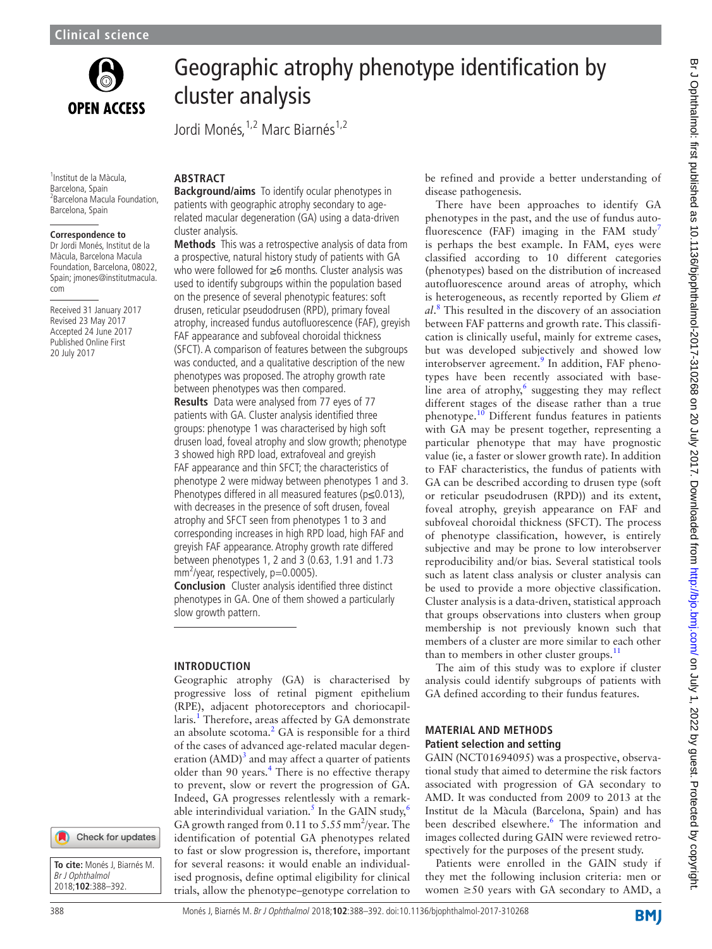

<sup>1</sup>Institut de la Màcula, Barcelona, Spain 2 Barcelona Macula Foundation, Barcelona, Spain

## **Correspondence to**

Dr Jordi Monés, Institut de la Màcula, Barcelona Macula Foundation, Barcelona, 08022, Spain; jmones@institutmacula. com

Received 31 January 2017 Revised 23 May 2017 Accepted 24 June 2017 Published Online First 20 July 2017

# Geographic atrophy phenotype identification by cluster analysis

Jordi Monés, <sup>1,2</sup> Marc Biarnés<sup>1,2</sup>

# **ARSTRACT**

**Background/aims** To identify ocular phenotypes in patients with geographic atrophy secondary to agerelated macular degeneration (GA) using a data-driven cluster analysis.

**Methods** This was a retrospective analysis of data from a prospective, natural history study of patients with GA who were followed for ≥6 months. Cluster analysis was used to identify subgroups within the population based on the presence of several phenotypic features: soft drusen, reticular pseudodrusen (RPD), primary foveal atrophy, increased fundus autofluorescence (FAF), greyish FAF appearance and subfoveal choroidal thickness (SFCT). A comparison of features between the subgroups was conducted, and a qualitative description of the new phenotypes was proposed. The atrophy growth rate between phenotypes was then compared.

**Results** Data were analysed from 77 eyes of 77 patients with GA. Cluster analysis identified three groups: phenotype 1 was characterised by high soft drusen load, foveal atrophy and slow growth; phenotype 3 showed high RPD load, extrafoveal and greyish FAF appearance and thin SFCT; the characteristics of phenotype 2 were midway between phenotypes 1 and 3. Phenotypes differed in all measured features (p≤0.013), with decreases in the presence of soft drusen, foveal atrophy and SFCT seen from phenotypes 1 to 3 and corresponding increases in high RPD load, high FAF and greyish FAF appearance. Atrophy growth rate differed between phenotypes 1, 2 and 3 (0.63, 1.91 and 1.73  $mm^2$ /year, respectively, p=0.0005).

**Conclusion** Cluster analysis identified three distinct phenotypes in GA. One of them showed a particularly slow growth pattern.

# **Introduction**

Geographic atrophy (GA) is characterised by progressive loss of retinal pigment epithelium (RPE), adjacent photoreceptors and choriocapillaris.<sup>1</sup> Therefore, areas affected by GA demonstrate an absolute scotoma. $2$  GA is responsible for a third of the cases of advanced age-related macular degeneration  $(AMD)^3$  $(AMD)^3$  and may affect a quarter of patients older than 90 years. $4$  There is no effective therapy to prevent, slow or revert the progression of GA. Indeed, GA progresses relentlessly with a remark-able interindividual variation.<sup>5</sup> In the GAIN study,<sup>[6](#page-4-4)</sup> GA growth ranged from  $0.11$  to  $5.55$  mm<sup>2</sup>/year. The identification of potential GA phenotypes related to fast or slow progression is, therefore, important for several reasons: it would enable an individualised prognosis, define optimal eligibility for clinical trials, allow the phenotype–genotype correlation to

be refined and provide a better understanding of disease pathogenesis.

There have been approaches to identify GA phenotypes in the past, and the use of fundus auto-fluorescence (FAF) imaging in the FAM study<sup>[7](#page-4-5)</sup> is perhaps the best example. In FAM, eyes were classified according to 10 different categories (phenotypes) based on the distribution of increased autofluorescence around areas of atrophy, which is heterogeneous, as recently reported by Gliem *et al*. [8](#page-4-6) This resulted in the discovery of an association between FAF patterns and growth rate. This classification is clinically useful, mainly for extreme cases, but was developed subjectively and showed low interobserver agreement.<sup>[9](#page-4-7)</sup> In addition, FAF phenotypes have been recently associated with baseline area of atrophy, $6$  suggesting they may reflect different stages of the disease rather than a true phenotype.[10](#page-4-8) Different fundus features in patients with GA may be present together, representing a particular phenotype that may have prognostic value (ie, a faster or slower growth rate). In addition to FAF characteristics, the fundus of patients with GA can be described according to drusen type (soft or reticular pseudodrusen (RPD)) and its extent, foveal atrophy, greyish appearance on FAF and subfoveal choroidal thickness (SFCT). The process of phenotype classification, however, is entirely subjective and may be prone to low interobserver reproducibility and/or bias. Several statistical tools such as latent class analysis or cluster analysis can be used to provide a more objective classification. Cluster analysis is a data-driven, statistical approach that groups observations into clusters when group membership is not previously known such that members of a cluster are more similar to each other than to members in other cluster groups. $^{11}$  $^{11}$  $^{11}$ 

The aim of this study was to explore if cluster analysis could identify subgroups of patients with GA defined according to their fundus features.

#### **Material and methods Patient selection and setting**

GAIN (NCT01694095) was a prospective, observational study that aimed to determine the risk factors associated with progression of GA secondary to AMD. It was conducted from 2009 to 2013 at the Institut de la Màcula (Barcelona, Spain) and has been described elsewhere.<sup>6</sup> The information and images collected during GAIN were reviewed retrospectively for the purposes of the present study.

Patients were enrolled in the GAIN study if they met the following inclusion criteria: men or women  $\geq 50$  years with GA secondary to AMD, a

**To cite:** Monés J, Biarnés M. Br J Ophthalmol 2018;**102**:388–392.

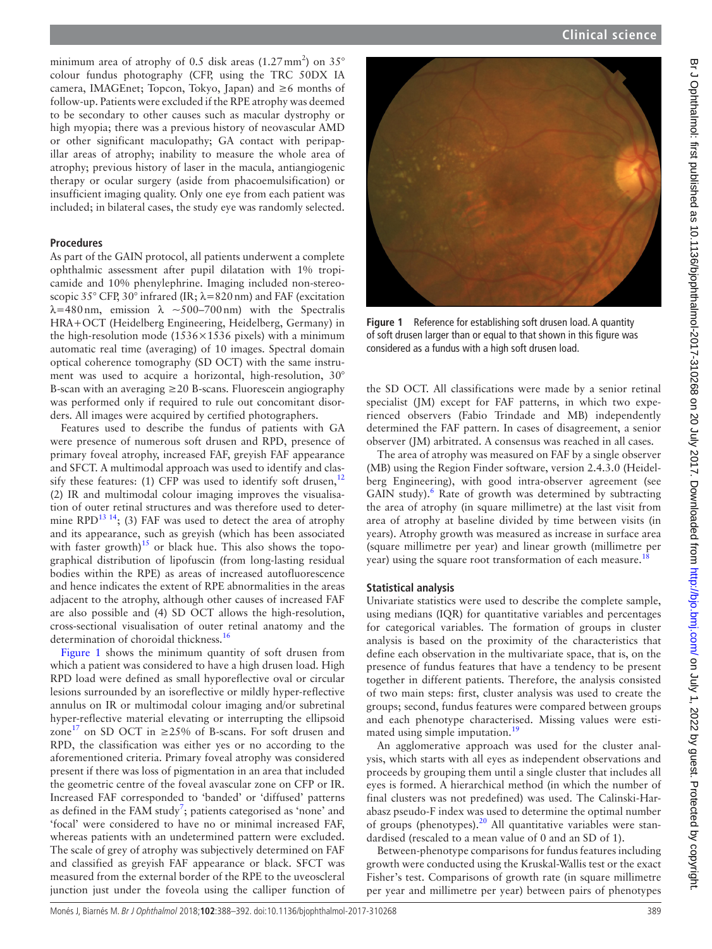minimum area of atrophy of 0.5 disk areas  $(1.27 \text{ mm}^2)$  on 35° colour fundus photography (CFP, using the TRC 50DX IA camera, IMAGEnet; Topcon, Tokyo, Japan) and  $\geq 6$  months of follow-up. Patients were excluded if the RPE atrophy was deemed to be secondary to other causes such as macular dystrophy or high myopia; there was a previous history of neovascular AMD or other significant maculopathy; GA contact with peripapillar areas of atrophy; inability to measure the whole area of atrophy; previous history of laser in the macula, antiangiogenic therapy or ocular surgery (aside from phacoemulsification) or insufficient imaging quality. Only one eye from each patient was included; in bilateral cases, the study eye was randomly selected.

#### **Procedures**

As part of the GAIN protocol, all patients underwent a complete ophthalmic assessment after pupil dilatation with 1% tropicamide and 10% phenylephrine. Imaging included non-stereoscopic 35° CFP, 30° infrared (IR;  $\lambda = 820$  nm) and FAF (excitation  $\lambda$ =480 nm, emission  $\lambda \sim 500-700$  nm) with the Spectralis HRA+OCT (Heidelberg Engineering, Heidelberg, Germany) in the high-resolution mode (1536 $\times$ 1536 pixels) with a minimum automatic real time (averaging) of 10 images. Spectral domain optical coherence tomography (SD OCT) with the same instrument was used to acquire a horizontal, high-resolution, 30° B-scan with an averaging  $\geq$  20 B-scans. Fluorescein angiography was performed only if required to rule out concomitant disorders. All images were acquired by certified photographers.

Features used to describe the fundus of patients with GA were presence of numerous soft drusen and RPD, presence of primary foveal atrophy, increased FAF, greyish FAF appearance and SFCT. A multimodal approach was used to identify and classify these features: (1) CFP was used to identify soft drusen, $12$ (2) IR and multimodal colour imaging improves the visualisation of outer retinal structures and was therefore used to determine RPD<sup>13 14</sup>; (3) FAF was used to detect the area of atrophy and its appearance, such as greyish (which has been associated with faster growth)<sup>[15](#page-4-12)</sup> or black hue. This also shows the topographical distribution of lipofuscin (from long-lasting residual bodies within the RPE) as areas of increased autofluorescence and hence indicates the extent of RPE abnormalities in the areas adjacent to the atrophy, although other causes of increased FAF are also possible and (4) SD OCT allows the high-resolution, cross-sectional visualisation of outer retinal anatomy and the determination of choroidal thickness.<sup>[16](#page-4-13)</sup>

[Figure](#page-1-0) 1 shows the minimum quantity of soft drusen from which a patient was considered to have a high drusen load. High RPD load were defined as small hyporeflective oval or circular lesions surrounded by an isoreflective or mildly hyper-reflective annulus on IR or multimodal colour imaging and/or subretinal hyper-reflective material elevating or interrupting the ellipsoid zone<sup>[17](#page-4-14)</sup> on SD OCT in ≥25% of B-scans. For soft drusen and RPD, the classification was either yes or no according to the aforementioned criteria. Primary foveal atrophy was considered present if there was loss of pigmentation in an area that included the geometric centre of the foveal avascular zone on CFP or IR. Increased FAF corresponded to 'banded' or 'diffused' patterns as defined in the FAM study<sup>[7](#page-4-5)</sup>; patients categorised as 'none' and 'focal' were considered to have no or minimal increased FAF, whereas patients with an undetermined pattern were excluded. The scale of grey of atrophy was subjectively determined on FAF and classified as greyish FAF appearance or black. SFCT was measured from the external border of the RPE to the uveoscleral junction just under the foveola using the calliper function of



**Figure 1** Reference for establishing soft drusen load. A quantity of soft drusen larger than or equal to that shown in this figure was considered as a fundus with a high soft drusen load.

<span id="page-1-0"></span>the SD OCT. All classifications were made by a senior retinal specialist (JM) except for FAF patterns, in which two experienced observers (Fabio Trindade and MB) independently determined the FAF pattern. In cases of disagreement, a senior observer (JM) arbitrated. A consensus was reached in all cases.

The area of atrophy was measured on FAF by a single observer (MB) using the Region Finder software, version 2.4.3.0 (Heidelberg Engineering), with good intra-observer agreement (see GAIN study).<sup>6</sup> Rate of growth was determined by subtracting the area of atrophy (in square millimetre) at the last visit from area of atrophy at baseline divided by time between visits (in years). Atrophy growth was measured as increase in surface area (square millimetre per year) and linear growth (millimetre per year) using the square root transformation of each measure.<sup>18</sup>

#### **Statistical analysis**

Univariate statistics were used to describe the complete sample, using medians (IQR) for quantitative variables and percentages for categorical variables. The formation of groups in cluster analysis is based on the proximity of the characteristics that define each observation in the multivariate space, that is, on the presence of fundus features that have a tendency to be present together in different patients. Therefore, the analysis consisted of two main steps: first, cluster analysis was used to create the groups; second, fundus features were compared between groups and each phenotype characterised. Missing values were estimated using simple imputation.<sup>19</sup>

An agglomerative approach was used for the cluster analysis, which starts with all eyes as independent observations and proceeds by grouping them until a single cluster that includes all eyes is formed. A hierarchical method (in which the number of final clusters was not predefined) was used. The Calinski-Harabasz pseudo-F index was used to determine the optimal number of groups (phenotypes).<sup>[20](#page-4-17)</sup> All quantitative variables were standardised (rescaled to a mean value of 0 and an SD of 1).

Between-phenotype comparisons for fundus features including growth were conducted using the Kruskal-Wallis test or the exact Fisher's test. Comparisons of growth rate (in square millimetre per year and millimetre per year) between pairs of phenotypes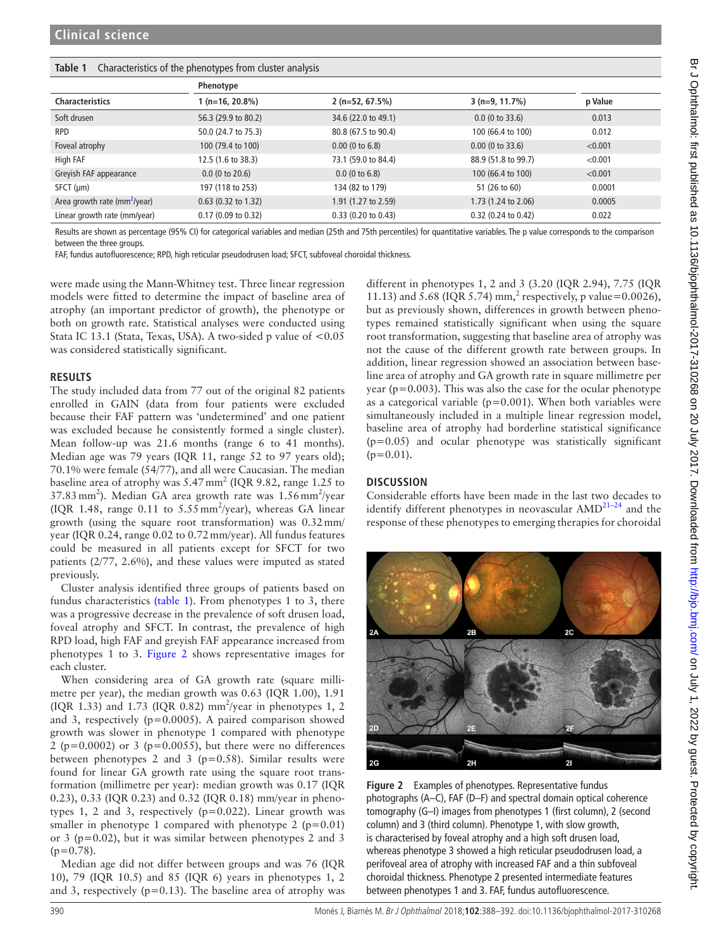#### <span id="page-2-0"></span>**Table 1** Characteristics of the phenotypes from cluster analysis

|                                 | Phenotype                     |                       |                       |         |
|---------------------------------|-------------------------------|-----------------------|-----------------------|---------|
| <b>Characteristics</b>          | $(n=16, 20.8\%)$              | $2(n=52, 67.5%)$      | $3(n=9, 11.7%)$       | p Value |
| Soft drusen                     | 56.3 (29.9 to 80.2)           | 34.6 (22.0 to 49.1)   | $0.0$ (0 to 33.6)     | 0.013   |
| <b>RPD</b>                      | 50.0 (24.7 to 75.3)           | 80.8 (67.5 to 90.4)   | 100 (66.4 to 100)     | 0.012   |
| Foveal atrophy                  | 100 (79.4 to 100)             | $0.00$ (0 to 6.8)     | $0.00$ (0 to 33.6)    | < 0.001 |
| High FAF                        | 12.5 (1.6 to 38.3)            | 73.1 (59.0 to 84.4)   | 88.9 (51.8 to 99.7)   | < 0.001 |
| Greyish FAF appearance          | $0.0$ (0 to 20.6)             | $0.0$ (0 to 6.8)      | 100 (66.4 to 100)     | < 0.001 |
| $SFCT$ ( $\mu$ m)               | 197 (118 to 253)              | 134 (82 to 179)       | 51 (26 to 60)         | 0.0001  |
| Area growth rate ( $mm2/year$ ) | $0.63$ (0.32 to 1.32)         | 1.91 (1.27 to 2.59)   | 1.73 (1.24 to 2.06)   | 0.0005  |
| Linear growth rate (mm/year)    | $0.17(0.09 \text{ to } 0.32)$ | $0.33$ (0.20 to 0.43) | $0.32$ (0.24 to 0.42) | 0.022   |

Results are shown as percentage (95% CI) for categorical variables and median (25th and 75th percentiles) for quantitative variables. The p value corresponds to the comparison between the three groups.

FAF, fundus autofluorescence; RPD, high reticular pseudodrusen load; SFCT, subfoveal choroidal thickness.

were made using the Mann-Whitney test. Three linear regression models were fitted to determine the impact of baseline area of atrophy (an important predictor of growth), the phenotype or both on growth rate. Statistical analyses were conducted using Stata IC 13.1 (Stata, Texas, USA). A two-sided p value of <0.05 was considered statistically significant.

#### **Results**

The study included data from 77 out of the original 82 patients enrolled in GAIN (data from four patients were excluded because their FAF pattern was 'undetermined' and one patient was excluded because he consistently formed a single cluster). Mean follow-up was 21.6 months (range 6 to 41 months). Median age was 79 years (IQR 11, range 52 to 97 years old); 70.1% were female (54/77), and all were Caucasian. The median baseline area of atrophy was  $5.47 \text{ mm}^2$  (IQR 9.82, range 1.25 to 37.83 mm<sup>2</sup>). Median GA area growth rate was 1.56 mm<sup>2</sup>/year (IQR 1.48, range  $0.11$  to  $5.55$  mm<sup>2</sup>/year), whereas GA linear growth (using the square root transformation) was 0.32mm/ year (IQR 0.24, range 0.02 to 0.72mm/year). All fundus features could be measured in all patients except for SFCT for two patients (2/77, 2.6%), and these values were imputed as stated previously.

Cluster analysis identified three groups of patients based on fundus characteristics [\(table 1\)](#page-2-0). From phenotypes 1 to 3, there was a progressive decrease in the prevalence of soft drusen load, foveal atrophy and SFCT. In contrast, the prevalence of high RPD load, high FAF and greyish FAF appearance increased from phenotypes 1 to 3. [Figure](#page-2-1) 2 shows representative images for each cluster.

When considering area of GA growth rate (square millimetre per year), the median growth was 0.63 (IQR 1.00), 1.91 (IQR 1.33) and 1.73 (IQR 0.82)  $mm<sup>2</sup>/year$  in phenotypes 1, 2 and 3, respectively (p=0.0005). A paired comparison showed growth was slower in phenotype 1 compared with phenotype 2 ( $p=0.0002$ ) or 3 ( $p=0.0055$ ), but there were no differences between phenotypes 2 and 3 ( $p=0.58$ ). Similar results were found for linear GA growth rate using the square root transformation (millimetre per year): median growth was 0.17 (IQR 0.23), 0.33 (IQR 0.23) and 0.32 (IQR 0.18) mm/year in phenotypes 1, 2 and 3, respectively  $(p=0.022)$ . Linear growth was smaller in phenotype 1 compared with phenotype 2 ( $p=0.01$ ) or 3 (p=0.02), but it was similar between phenotypes 2 and 3  $(p=0.78)$ .

Median age did not differ between groups and was 76 (IQR 10), 79 (IQR 10.5) and 85 (IQR 6) years in phenotypes 1, 2 and 3, respectively ( $p=0.13$ ). The baseline area of atrophy was different in phenotypes 1, 2 and 3 (3.20 (IQR 2.94), 7.75 (IQR 11.13) and 5.68 (IQR 5.74) mm,<sup>2</sup> respectively, p value=0.0026), but as previously shown, differences in growth between phenotypes remained statistically significant when using the square root transformation, suggesting that baseline area of atrophy was not the cause of the different growth rate between groups. In addition, linear regression showed an association between baseline area of atrophy and GA growth rate in square millimetre per year ( $p=0.003$ ). This was also the case for the ocular phenotype as a categorical variable ( $p=0.001$ ). When both variables were simultaneously included in a multiple linear regression model, baseline area of atrophy had borderline statistical significance  $(p=0.05)$  and ocular phenotype was statistically significant  $(p=0.01)$ .

## **Discussion**

Considerable efforts have been made in the last two decades to identify different phenotypes in neovascular  $\text{AMD}^{21-24}$  and the response of these phenotypes to emerging therapies for choroidal

<span id="page-2-1"></span>

**Figure 2** Examples of phenotypes. Representative fundus photographs (A–C), FAF (D–F) and spectral domain optical coherence tomography (G–I) images from phenotypes 1 (first column), 2 (second column) and 3 (third column). Phenotype 1, with slow growth, is characterised by foveal atrophy and a high soft drusen load, whereas phenotype 3 showed a high reticular pseudodrusen load, a perifoveal area of atrophy with increased FAF and a thin subfoveal choroidal thickness. Phenotype 2 presented intermediate features between phenotypes 1 and 3. FAF, fundus autofluorescence.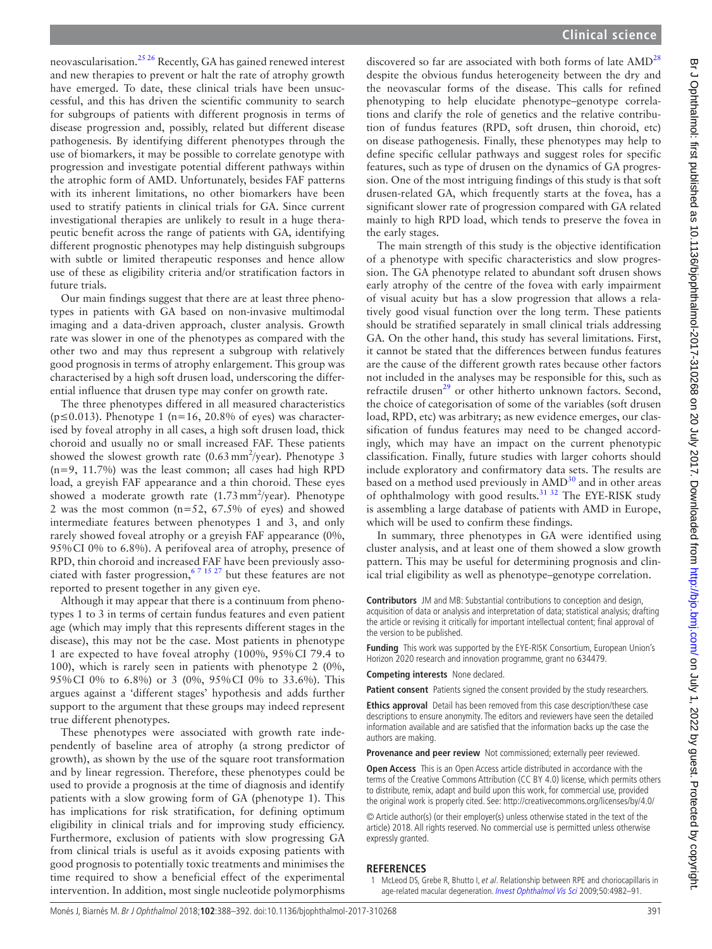neovascularisation[.25 26](#page-4-19) Recently, GA has gained renewed interest and new therapies to prevent or halt the rate of atrophy growth have emerged. To date, these clinical trials have been unsuccessful, and this has driven the scientific community to search for subgroups of patients with different prognosis in terms of disease progression and, possibly, related but different disease pathogenesis. By identifying different phenotypes through the use of biomarkers, it may be possible to correlate genotype with progression and investigate potential different pathways within the atrophic form of AMD. Unfortunately, besides FAF patterns with its inherent limitations, no other biomarkers have been used to stratify patients in clinical trials for GA. Since current investigational therapies are unlikely to result in a huge therapeutic benefit across the range of patients with GA, identifying different prognostic phenotypes may help distinguish subgroups with subtle or limited therapeutic responses and hence allow use of these as eligibility criteria and/or stratification factors in future trials.

Our main findings suggest that there are at least three phenotypes in patients with GA based on non-invasive multimodal imaging and a data-driven approach, cluster analysis. Growth rate was slower in one of the phenotypes as compared with the other two and may thus represent a subgroup with relatively good prognosis in terms of atrophy enlargement. This group was characterised by a high soft drusen load, underscoring the differential influence that drusen type may confer on growth rate.

The three phenotypes differed in all measured characteristics ( $p \le 0.013$ ). Phenotype 1 ( $n=16$ , 20.8% of eyes) was characterised by foveal atrophy in all cases, a high soft drusen load, thick choroid and usually no or small increased FAF. These patients showed the slowest growth rate  $(0.63 \text{ mm}^2/\text{year})$ . Phenotype 3 (n=9, 11.7%) was the least common; all cases had high RPD load, a greyish FAF appearance and a thin choroid. These eyes showed a moderate growth rate  $(1.73 \text{ mm}^2/\text{year})$ . Phenotype 2 was the most common  $(n=52, 67.5\%$  of eyes) and showed intermediate features between phenotypes 1 and 3, and only rarely showed foveal atrophy or a greyish FAF appearance (0%, 95%CI 0% to 6.8%). A perifoveal area of atrophy, presence of RPD, thin choroid and increased FAF have been previously associated with faster progression,<sup>67</sup> <sup>15</sup> <sup>27</sup> but these features are not reported to present together in any given eye.

Although it may appear that there is a continuum from phenotypes 1 to 3 in terms of certain fundus features and even patient age (which may imply that this represents different stages in the disease), this may not be the case. Most patients in phenotype 1 are expected to have foveal atrophy (100%, 95%CI 79.4 to 100), which is rarely seen in patients with phenotype 2 (0%, 95%CI 0% to 6.8%) or 3 (0%, 95%CI 0% to 33.6%). This argues against a 'different stages' hypothesis and adds further support to the argument that these groups may indeed represent true different phenotypes.

These phenotypes were associated with growth rate independently of baseline area of atrophy (a strong predictor of growth), as shown by the use of the square root transformation and by linear regression. Therefore, these phenotypes could be used to provide a prognosis at the time of diagnosis and identify patients with a slow growing form of GA (phenotype 1). This has implications for risk stratification, for defining optimum eligibility in clinical trials and for improving study efficiency. Furthermore, exclusion of patients with slow progressing GA from clinical trials is useful as it avoids exposing patients with good prognosis to potentially toxic treatments and minimises the time required to show a beneficial effect of the experimental intervention. In addition, most single nucleotide polymorphisms

discovered so far are associated with both forms of late  $\text{AMD}^{28}$  $\text{AMD}^{28}$  $\text{AMD}^{28}$ despite the obvious fundus heterogeneity between the dry and the neovascular forms of the disease. This calls for refined phenotyping to help elucidate phenotype–genotype correlations and clarify the role of genetics and the relative contribution of fundus features (RPD, soft drusen, thin choroid, etc) on disease pathogenesis. Finally, these phenotypes may help to define specific cellular pathways and suggest roles for specific features, such as type of drusen on the dynamics of GA progression. One of the most intriguing findings of this study is that soft drusen-related GA, which frequently starts at the fovea, has a significant slower rate of progression compared with GA related mainly to high RPD load, which tends to preserve the fovea in the early stages.

The main strength of this study is the objective identification of a phenotype with specific characteristics and slow progression. The GA phenotype related to abundant soft drusen shows early atrophy of the centre of the fovea with early impairment of visual acuity but has a slow progression that allows a relatively good visual function over the long term. These patients should be stratified separately in small clinical trials addressing GA. On the other hand, this study has several limitations. First, it cannot be stated that the differences between fundus features are the cause of the different growth rates because other factors not included in the analyses may be responsible for this, such as refractile drusen<sup>[29](#page-4-21)</sup> or other hitherto unknown factors. Second, the choice of categorisation of some of the variables (soft drusen load, RPD, etc) was arbitrary; as new evidence emerges, our classification of fundus features may need to be changed accordingly, which may have an impact on the current phenotypic classification. Finally, future studies with larger cohorts should include exploratory and confirmatory data sets. The results are based on a method used previously in  $\text{AMD}^{30}$  and in other areas of ophthalmology with good results.<sup>[31 32](#page-4-23)</sup> The EYE-RISK study is assembling a large database of patients with AMD in Europe, which will be used to confirm these findings.

In summary, three phenotypes in GA were identified using cluster analysis, and at least one of them showed a slow growth pattern. This may be useful for determining prognosis and clinical trial eligibility as well as phenotype–genotype correlation.

**Contributors** JM and MB: Substantial contributions to conception and design, acquisition of data or analysis and interpretation of data; statistical analysis; drafting the article or revising it critically for important intellectual content; final approval of the version to be published.

**Funding** This work was supported by the EYE-RISK Consortium, European Union's Horizon 2020 research and innovation programme, grant no 634479.

**Competing interests** None declared.

Patient consent Patients signed the consent provided by the study researchers.

**Ethics approval** Detail has been removed from this case description/these case descriptions to ensure anonymity. The editors and reviewers have seen the detailed information available and are satisfied that the information backs up the case the authors are making.

**Provenance and peer review** Not commissioned; externally peer reviewed.

**Open Access** This is an Open Access article distributed in accordance with the terms of the Creative Commons Attribution (CC BY 4.0) license, which permits others to distribute, remix, adapt and build upon this work, for commercial use, provided the original work is properly cited. See:<http://creativecommons.org/licenses/by/4.0/>

© Article author(s) (or their employer(s) unless otherwise stated in the text of the article) 2018. All rights reserved. No commercial use is permitted unless otherwise expressly granted.

## **References**

<span id="page-3-0"></span>1 McLeod DS, Grebe R, Bhutto I, et al. Relationship between RPE and choriocapillaris in age-related macular degeneration. [Invest Ophthalmol Vis Sci](http://dx.doi.org/10.1167/iovs.09-3639) 2009;50:4982-91.